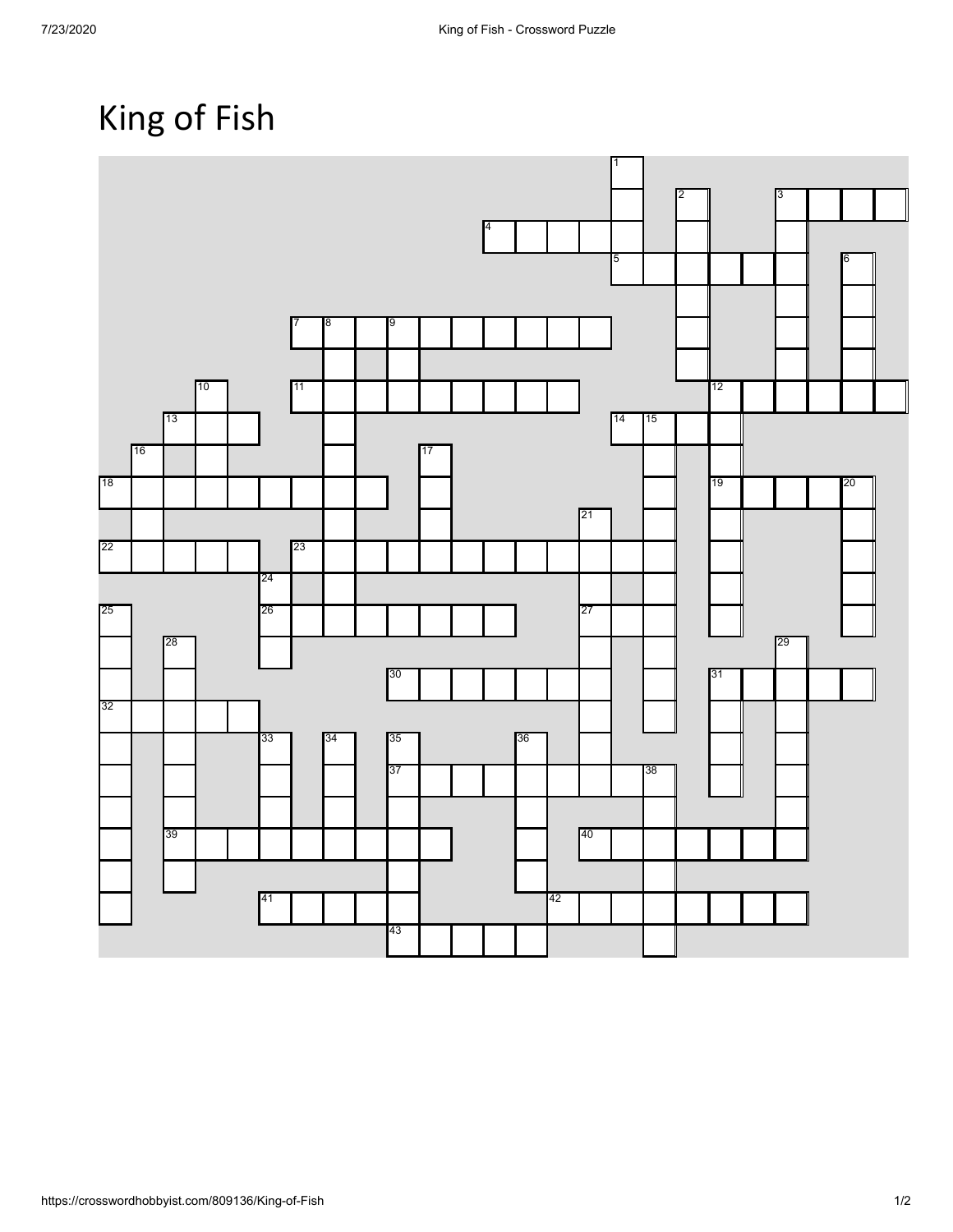## King of Fish